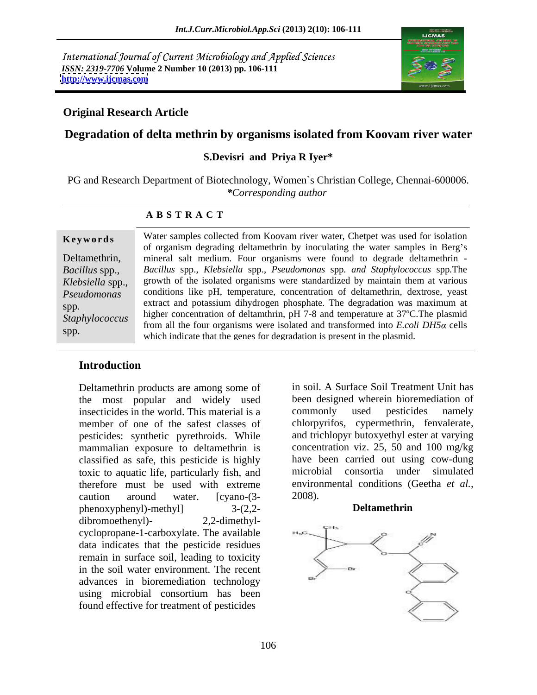International Journal of Current Microbiology and Applied Sciences *ISSN: 2319-7706* **Volume 2 Number 10 (2013) pp. 106-111 <http://www.ijcmas.com>**



### **Original Research Article**

# **Degradation of delta methrin by organisms isolated from Koovam river water**

### **S.Devisri and Priya R Iyer\***

PG and Research Department of Biotechnology, Women`s Christian College, Chennai-600006. *\*Corresponding author* 

#### **A B S T R A C T**

**Keywords** Water samples collected from Koovam river water, Chetpet was used for isolation Deltamethrin, mineral salt medium. Four organisms were found to degrade deltamethrin - *Bacillus* spp., *Bacillus* spp., *Klebsiella* spp., *Pseudomonas* spp*. and Staphylococcus* spp*.*The *Klebsiella* spp., growth of the isolated organisms were standardized by maintain them at various *Pseudomonas*  conditions like pH, temperature, concentration of deltamethrin, dextrose, yeast spp.<br>Staphylococcus higher concentration of deltamthrin, pH 7-8 and temperature at 37°C. The plasmid<br>Staphylococcus higher concentration of deltamthrin, pH 7-8 and temperature at 37°C. The plasmid **Keywords** Water samples collected from Koovam river water, Chetpet was used for isolation<br>of organism degrading deltamethrin by inoculating the water samples in Berg's<br>Deltamethrin,<br>*Bacillus* spp., *Bacillus* spp., *Rebs* of organism degrading deltamethrin by inoculating the water samples in Berg's extract and potassium dihydrogen phosphate. The degradation was maximum at from all the four organisms were isolated and transformed into *E.coli DH5a* cells which indicate that the genes for degradation is present in the plasmid.

### **Introduction**

Deltamethrin products are among some of the most popular and widely used insecticides in the world. This material is a commonly used pesticides namely member of one of the safest classes of pesticides: synthetic pyrethroids. While mammalian exposure to deltamethrin is classified as safe, this pesticide is highly toxic to aquatic life, particularly fish, and caution around water.  $[cyano-(3-2008)]$ . phenoxyphenyl)-methyl] 3-(2,2 dibromoethenyl)- 2,2-dimethyl cyclopropane-1-carboxylate. The available data indicates that the pesticide residues remain in surface soil, leading to toxicity in the soil water environment. The recent advances in bioremediation technology using microbial consortium has been found effective for treatment of pesticides

therefore must be used with extreme environmental conditions (Geetha *et al.,* in soil. A Surface Soil Treatment Unit has been designed wherein bioremediation of commonly used pesticides namely chlorpyrifos, cypermethrin, fenvalerate, and trichlopyr butoxyethyl ester at varying concentration viz. 25, 50 and 100 mg/kg have been carried out using cow-dung microbial consortia under simulated 2008).

#### **Deltamethrin**

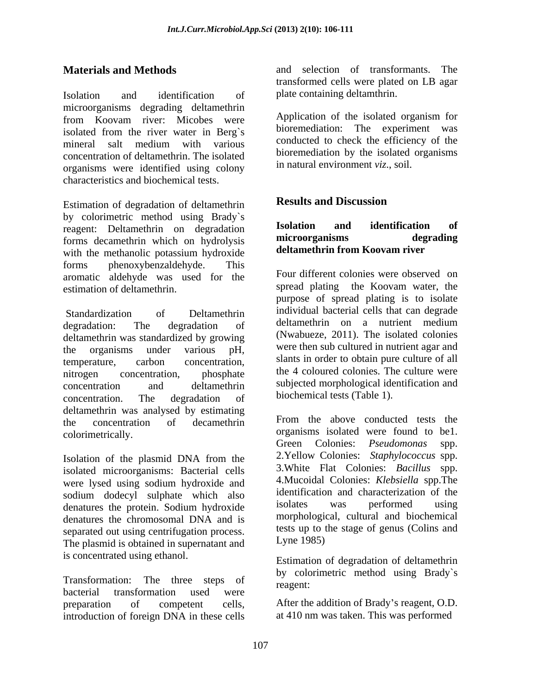Isolation and identification of plate containing deltamthrin. microorganisms degrading deltamethrin from Koovam river: Micobes were isolated from the river water in Berg`s mineral salt medium with various conducted to check the efficiency of the concentration of deltamethrin. The isolated organisms were identified using colony characteristics and biochemical tests.

Estimation of degradation of deltamethrin **Results and Discussion** by colorimetric method using Brady's<br>recent: Deltamathrin on dogradation **Isolation and identification of** reagent: Deltamethrin on degradation **Isolation and identification of**<br>forms decamethrin which on hydrolysis **inicroorganisms degrading** forms decamethrin which on hydrolysis with the methanolic potassium hydroxide forms phenoxybenzaldehyde. This aromatic aldehyde was used for the

degradation: The degradation of deltamethrin on a nutrient medium deltamethrin was standardized by growing the organisms under various  $pH$ , were then sub cultured in nutrient agar and temperature, carbon concentration, slants in order to obtain pure culture of all nitrogen concentration, phosphate the 4 coloured colonies. The culture were concentration and deltamethrin subjected morphological identification and concentration. The degradation of biochemical tests (Table 1). deltamethrin was analysed by estimating<br>the concentration of decempthring From the above conducted tests the the concentration of decamethrin From the above conducted tests the colorimetrically. organisms isolated were found to be1.

Isolation of the plasmid DNA from the isolated microorganisms: Bacterial cells were lysed using sodium hydroxide and sodium dodecyl sulphate which also identification and characterization of the<br>donatures the protein Sodium hydroxide isolates was performed using denatures the protein. Sodium hydroxide<br>denatures the chromosomal DNA and is separated out using centrifugation process.<br>The plasmid is obtained in superpatant and Lyne 1985) The plasmid is obtained in supernatant and

Transformation: The three steps of  $\frac{dy}{1}$  reagent: bacterial transformation used were really research. preparation of competent cells, After the addition of Brady s reagent, O.D. introduction of foreign DNA in these cells

**Materials and Methods** and selection of transformants. The transformed cells were plated on LB agar plate containing deltamthrin.

> Application of the isolated organism for bioremediation: The experiment was conducted to check the efficiency of the bioremediation by the isolated organisms in natural environment *viz*., soil.

# **Results and Discussion**

### **Isolation and identification of microorganisms degrading deltamethrin from Koovam river**

estimation of deltamethrin.<br>
Standardization of Deltamethrin in individual bacterial cells that can degrade<br>
Standardization of Deltamethrin individual bacterial cells that can degrade Four different colonies were observed on spread plating the Koovam water, the purpose of spread plating is to isolate individual bacterial cells that can degrade deltamethrin on a nutrient medium (Nwabueze, 2011). The isolated colonies slants in order to obtain pure culture of all the 4 coloured colonies. The culture were subjected morphological identification and biochemical tests (Table 1).

denatures the chromosomal DNA and is morphological, cultural and biochemical From the above conducted tests the Green Colonies: *Pseudomonas* spp. 2.Yellow Colonies: *Staphylococcus* spp. 3.White Flat Colonies: *Bacillus* spp. 4.Mucoidal Colonies: *Klebsiella* spp.The identification and characterization of the isolates was performed using morphological, cultural and biochemical tests up to the stage of genus (Colins and Lyne 1985)

is concentrated using ethanol. Estimation of degradation of deltamethrin by colorimetric method using Brady`s reagent:

at 410 nm was taken. This was performed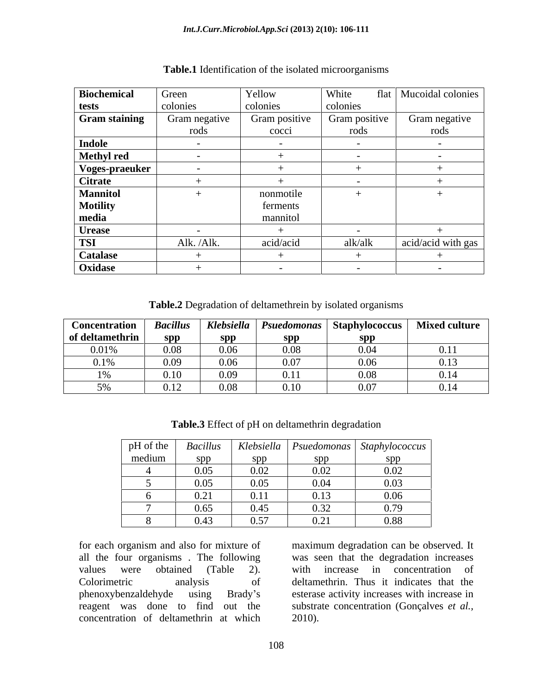| <b>Biochemical</b>   | Green         | Yellow        | White<br>flat            | Mucoidal colonies    |
|----------------------|---------------|---------------|--------------------------|----------------------|
| tests                | colonies      | colonies      | colonies                 |                      |
| <b>Gram staining</b> | Gram negative | Gram positive | Gram positive            | Gram negative        |
|                      | rods          | cocci         | rods                     | rods                 |
| Indole               | $\sim$        | $\sim$ $-$    | $\sim$                   | $\sim$ $-$           |
| Methyl red           | $\sim$        |               | $\sim$                   | $\sim$ $\sim$ $\sim$ |
| Voges-praeuker       | $\sim$ $-$    |               |                          |                      |
| <b>Citrate</b>       |               |               | $\sim$                   |                      |
| <b>Mannitol</b>      |               | nonmotile     |                          |                      |
| <b>Motility</b>      |               | ferments      |                          |                      |
| media                |               | mannitol      |                          |                      |
| <b>Urease</b>        |               |               | $\overline{\phantom{0}}$ |                      |
| <b>TSI</b>           | Alk. /Alk.    | acid/acid     | alk/alk                  | acid/acid with gas   |
| <b>Catalase</b>      |               |               |                          |                      |
| Oxidase              |               |               |                          |                      |

| <b>Table.1</b><br>I Identification of the isolated microorganisms |  |
|-------------------------------------------------------------------|--|
|                                                                   |  |

**Table.2** Degradation of deltamethrein by isolated organisms

| <b>Concentration</b> Bacillus |      | Klebsiella | $\blacksquare$ Psuedomonas | $\cdot$   Staphylococcus   Mixed culture |      |
|-------------------------------|------|------------|----------------------------|------------------------------------------|------|
| of deltamethrin               | snn  | snn<br>. . | snn                        | snn                                      |      |
| 0.01%                         | 0.08 | 0.06       | ገ በዐ<br>v.vo               | 0.04                                     | 0.11 |
| $0.1\%$                       | 0.09 | 0.06       | 0.07                       | 0.06                                     | 0.13 |
| 10/2                          | 0.10 |            | 0.11                       | 0.08                                     | 0.14 |
| 50/2<br>$\sim$ / $\sigma$     | 0.12 | 0.08       | $0.10\,$                   | 0.07                                     | 0.14 |

| $pH$ of the | <b>Bacillus</b> |      |      | Klebsiella   Psuedomonas   Staphylococcus |
|-------------|-----------------|------|------|-------------------------------------------|
| medium      | snn             |      | spp  | snn                                       |
|             | 0.05            | 0.02 | 0.02 | 0.02                                      |
|             | 0.05            | 0.05 | 0.04 | 0.03                                      |
|             | 0.21            | 0.11 | 0.13 | 0.06                                      |
|             | 0.65            | 0.45 | 0.32 | 0.79                                      |
|             | 0.43            | 0.57 | 0.21 | 0.88                                      |

**Table.3** Effect of pH on deltamethrin degradation

for each organism and also for mixture of maximum degradation can be observed. It all the four organisms . The following values were obtained (Table 2). with increase in concentration of Colorimetric analysis of deltamethrin. Thus it indicates that the phenoxybenzaldehyde using Brady s esterase activity increases with increase in reagent was done to find out the substrate concentration (Gonçalves *et al.,* concentration of deltamethrin at which

was seen that the degradation increases 2010).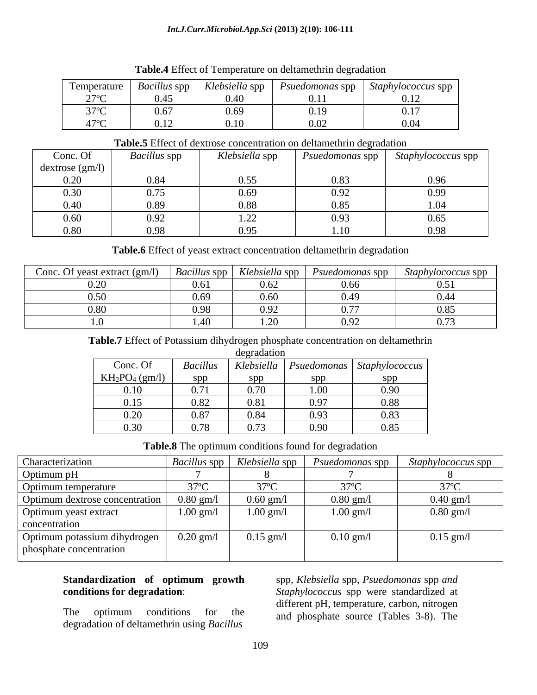#### *Int.J.Curr.Microbiol.App.Sci* **(2013) 2(10): 106-111**

| $\overline{ }$<br>Temperature              | <i>Bacillus</i> spp<br>--                   | Klebsiella spp<br>$\overline{\phantom{a}}$ | <i>Psuedomonas</i> spp                           | $Staphylococcus$ spp $\vert$ |
|--------------------------------------------|---------------------------------------------|--------------------------------------------|--------------------------------------------------|------------------------------|
| 270c<br>$\sim$ $\sim$                      | 0.45                                        | 0.40                                       | $\sim$ 4.4<br>$\mathbf{v} \cdot \mathbf{r}$      | 0.12                         |
| 2705                                       | $\sim$ $\sim$ $\sim$<br>0.67                | 0.69                                       | 0.10<br>- 192<br>$\mathbf{U} \cdot \mathbf{I}$ . | $\sim$ $\sim$ $\sim$<br>0.17 |
| 170C<br>41<br>$\tilde{\phantom{a}}$<br>. . | $\sim$ 1.0<br>$\mathsf{U} \cdot \mathsf{L}$ | 0.10                                       | 0.02                                             | 0.04                         |

**Table.4** Effect of Temperature on deltamethrin degradation

#### **Table.5** Effect of dextrose concentration on deltamethrin degradation

| Conc. Of       | <i>Bacillus</i> spp | Klebsiella spp | Psuedomonas spp  | Staphylococcus spp |
|----------------|---------------------|----------------|------------------|--------------------|
| dextrose(gm/l) |                     |                |                  |                    |
| 0.20           | 0.84                | ገ 55<br>J.JJ   | 0.83             | 0.96               |
| 0.30           | $\bigcap$           | 0.69           | 0.92             | 0.99               |
| 0.40           | 0.89                | 0.88           | 0.85             | $\sqrt{1}$         |
| 0.60           | 0.92                | 1. <i>ll</i>   | 0.93             | 0.65               |
| 0.80           | 0.98                | 0.95           | 1.1 <sub>0</sub> | 0.98               |

**Table.6** Effect of yeast extract concentration deltamethrin degradation

| Conc. Of yeast extract (gm/l) |        | $\mid$ Bacillus spp $\mid$ Klebsiella spp | <i>Psuedomonas</i> spp | <i>Staphylococcus</i> spp |
|-------------------------------|--------|-------------------------------------------|------------------------|---------------------------|
|                               | 0.61   | $\sim$                                    |                        |                           |
|                               | 0.69   | $\sim$ $\sim$ $\sim$<br>0.60              |                        |                           |
|                               | 0.98   | $\sim$ $\sim$ $\sim$<br>0.92              |                        | ''×                       |
|                               | . . 41 | $\sim$<br>$\sim$                          |                        | . <i>.</i> .              |

**Table.7** Effect of Potassium dihydrogen phosphate concentration on deltamethrin

| legradation |  |
|-------------|--|

|                   |                 | degradation |      |                                                    |
|-------------------|-----------------|-------------|------|----------------------------------------------------|
| Conc. Of          | <b>Bacillus</b> | Klebsiella  |      | $\vert$ Psuedomonas $\vert$ Staphylococcus $\vert$ |
| $KH_2PO_4$ (gm/l) | spp             | spp         | spp  | spp                                                |
| 0.10              | 0.71            | 0.70        | 1.00 | 0.90                                               |
| 0.15              | 0.82            | 0.81        | 0.97 | 0.88                                               |
| 0.20              | 0.87            | 0.84        | 0.93 | 0.83                                               |
| 0.30              | 0.78            | 0.73        | 0.90 | 0.85                                               |

**Table.8** The optimum conditions found for degradation

| Characterization                                        |                      |                     |             | Bacillus spp   Klebsiella spp   Psuedomonas spp   Staphylococcus spp |
|---------------------------------------------------------|----------------------|---------------------|-------------|----------------------------------------------------------------------|
| Optimum pH                                              |                      |                     |             |                                                                      |
| Optimum temperature                                     | $J/\mathbb{C}$       | $31^{\circ}$        |             |                                                                      |
| Optimum dextrose concentration                          | $0.80$ gm/ $\lambda$ | $0.60$ gm/l         | $0.80$ gm/l | $0.40$ gm/l                                                          |
| Optimum yeast extract<br>concentration                  | $1.00$ gm/l          | $1.00 \text{ gm/l}$ | $1.00$ gm/l | $0.80$ gm/l                                                          |
| Optimum potassium dihydrogen<br>phosphate concentration | $0.20$ gm/l          | $0.15$ gm/l         | $0.10$ gm/l | $0.15$ gm/l                                                          |

# **Standardization of optimum growth** spp*, Klebsiella* spp*, Psuedomonas* spp *and*

degradation of deltamethrin using *Bacillus* 

**conditions for degradation**: *Staphylococcus* spp were standardized at The optimum conditions for the and phosphate source (Tables 3-8). The different pH, temperature, carbon, nitrogen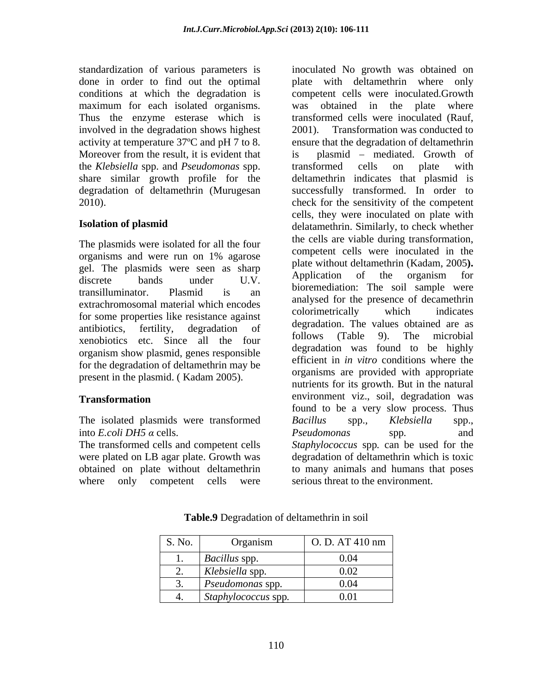standardization of various parameters is maximum for each isolated organisms. was obtained in the plate where involved in the degradation shows highest 2001). Moreover from the result, it is evident that is the *Klebsiella* spp. and *Pseudomonas* spp. share similar growth profile for the

The plasmids were isolated for all the four gel. The plasmids were seen as sharp and place without detailed the critical conduction of the organism for extrachromosomal material which encodes<br>colorimetrically which indicates for some properties like resistance against xenobiotics, terms, degradation of follows (Table 9). The microbial organism show plasmid, genes responsible for the degradation of deltamethrin may be present in the plasmid. ( Kadam 2005).

The isolated plasmids were transformed Bacillus spp., Klebsiella spp., into *E.coli* DH5  $\alpha$  cells.  $P$ *seudomonas* spp. and

where only competent cells were serious threat to the environment.

done in order to find out the optimal plate with deltamethrin where only conditions at which the degradation is competent cells were inoculated.Growth Thus the enzyme esterase which is transformed cells were inoculated (Rauf, activity at temperature 37ºC and pH 7 to 8. ensure that the degradation of deltamethrin degradation of deltamethrin (Murugesan successfully transformed. In order to 2010). check for the sensitivity of the competent **Isolation of plasmid** delatamethrin. Similarly, to check whether organisms and were run on  $1\%$  agarose competent cens were modulated in the discrete bands under  $U.V.$  Application of the organism for transilluminator. Plasmid is an underlieuration. The son sample were antibiotics, fertility, degradation of  $\frac{d}{dx}$  and  $\frac{d}{dx}$  and  $\frac{d}{dx}$  are  $\frac{d}{dx}$  and  $\frac{d}{dx}$  are  $\frac{d}{dx}$  and  $\frac{d}{dx}$  are  $\frac{d}{dx}$  and  $\frac{d}{dx}$  are  $\frac{d}{dx}$  and  $\frac{d}{dx}$  are  $\frac{d}{dx}$  and  $\frac{d}{dx}$  are **Transformation** environment viz., soil, degradation was The transformed cells and competent cells *Staphylococcus* spp*.* can be used for the were plated on LB agar plate. Growth was degradation of deltamethrin which is toxic obtained on plate without deltamethrin to many animals and humans that poses inoculated No growth was obtained on was obtained in the plate where Transformation was conducted to plasmid – mediated. Growth of transformed cells on plate with deltamethrin indicates that plasmid is cells, they were inoculated on plate with the cells are viable during transformation, competent cells were inoculated in the plate without deltamethrin (Kadam, 2005**).** Application of the organism for bioremediation: The soil sample were analysed for the presence of decamethrin colorimetrically which indicates degradation. The values obtained are as follows (Table 9). The microbial degradation was found to be highly efficient in *in vitro* conditions where the organisms are provided with appropriate nutrients for its growth. But in the natural environment viz., soil, degradation was found to be a very slow process. Thus *Bacillus* spp.*, Klebsiella* spp., *Pseudomonas* spp*.* and

| S. No.                     | Organism                                    | O. D. AT 410 nm |
|----------------------------|---------------------------------------------|-----------------|
|                            | <i>Bacillus</i> spp                         | 0.01<br>0.04    |
| $\overline{\phantom{a}}$ . | Klebsiella spp.<br>$\overline{\phantom{a}}$ | 0.02            |
|                            | Pseudomonas spp.                            | 0.04            |
|                            | Staphylococcus spp.                         | 0.01            |

# **Table.9** Degradation of deltamethrin in soil